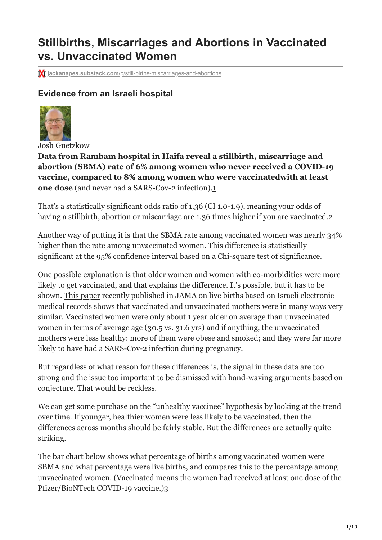# **Stillbirths, Miscarriages and Abortions in Vaccinated vs. Unvaccinated Women**

**M** jackanapes.substack.com[/p/still-births-miscarriages-and-abortions](https://jackanapes.substack.com/p/still-births-miscarriages-and-abortions?s=r)

# **Evidence from an Israeli hospital**



[Josh Guetzkow](https://substack.com/profile/42568025-josh-guetzkow)

**Data from Rambam hospital in Haifa reveal a stillbirth, miscarriage and abortion (SBMA) rate of 6% among women who never received a COVID-19 vaccine, compared to 8% among women who were vaccinatedwith at least one dose** (and never had a SARS-Cov-2 infection).[1](#page-8-0)

<span id="page-0-1"></span><span id="page-0-0"></span>That's a statistically significant odds ratio of 1.36 (CI 1.0-1.9), meaning your odds of having a stillbirth, abortion or miscarriage are 1.36 times higher if you are vaccinated.

Another way of putting it is that the SBMA rate among vaccinated women was nearly 34% higher than the rate among unvaccinated women. This difference is statistically significant at the 95% confidence interval based on a Chi-square test of significance.

One possible explanation is that older women and women with co-morbidities were more likely to get vaccinated, and that explains the difference. It's possible, but it has to be shown. [This paper](https://jamanetwork.com/journals/jamapediatrics/fullarticle/2788938) recently published in JAMA on live births based on Israeli electronic medical records shows that vaccinated and unvaccinated mothers were in many ways very similar. Vaccinated women were only about 1 year older on average than unvaccinated women in terms of average age (30.5 vs. 31.6 yrs) and if anything, the unvaccinated mothers were less healthy: more of them were obese and smoked; and they were far more likely to have had a SARS-Cov-2 infection during pregnancy.

But regardless of what reason for these differences is, the signal in these data are too strong and the issue too important to be dismissed with hand-waving arguments based on conjecture. That would be reckless.

We can get some purchase on the "unhealthy vaccinee" hypothesis by looking at the trend over time. If younger, healthier women were less likely to be vaccinated, then the differences across months should be fairly stable. But the differences are actually quite striking.

<span id="page-0-2"></span>The bar chart below shows what percentage of births among vaccinated women were SBMA and what percentage were live births, and compares this to the percentage among unvaccinated women. (Vaccinated means the women had received at least one dose of the Pfizer/BioNTech COVID-19 vaccine.)[3](#page-9-0)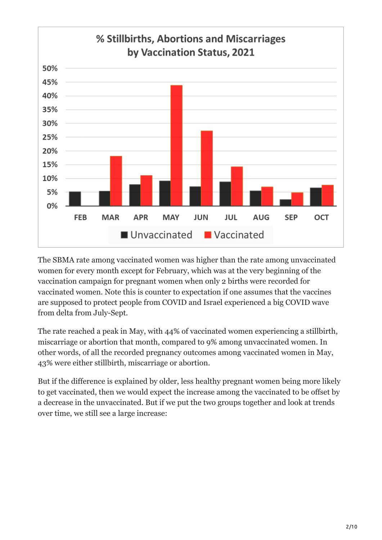

The SBMA rate among vaccinated women was higher than the rate among unvaccinated women for every month except for February, which was at the very beginning of the vaccination campaign for pregnant women when only 2 births were recorded for vaccinated women. Note this is counter to expectation if one assumes that the vaccines are supposed to protect people from COVID and Israel experienced a big COVID wave from delta from July-Sept.

The rate reached a peak in May, with 44% of vaccinated women experiencing a stillbirth, miscarriage or abortion that month, compared to 9% among unvaccinated women. In other words, of all the recorded pregnancy outcomes among vaccinated women in May, 43% were either stillbirth, miscarriage or abortion.

But if the difference is explained by older, less healthy pregnant women being more likely to get vaccinated, then we would expect the increase among the vaccinated to be offset by a decrease in the unvaccinated. But if we put the two groups together and look at trends over time, we still see a large increase: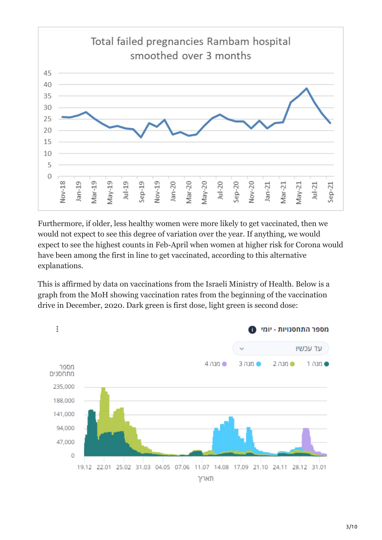

Furthermore, if older, less healthy women were more likely to get vaccinated, then we would not expect to see this degree of variation over the year. If anything, we would expect to see the highest counts in Feb-April when women at higher risk for Corona would have been among the first in line to get vaccinated, according to this alternative explanations.

This is affirmed by data on vaccinations from the Israeli Ministry of Health. Below is a graph from the MoH showing vaccination rates from the beginning of the vaccination drive in December, 2020. Dark green is first dose, light green is second dose:

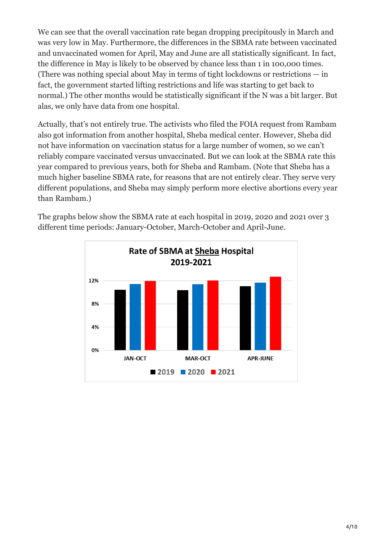We can see that the overall vaccination rate began dropping precipitously in March and was very low in May. Furthermore, the differences in the SBMA rate between vaccinated and unvaccinated women for April, May and June are all statistically significant. In fact, the difference in May is likely to be observed by chance less than 1 in 100,000 times. (There was nothing special about May in terms of tight lockdowns or restrictions — in fact, the government started lifting restrictions and life was starting to get back to normal.) The other months would be statistically significant if the N was a bit larger. But alas, we only have data from one hospital.

Actually, that's not entirely true. The activists who filed the FOIA request from Rambam also got information from another hospital, Sheba medical center. However, Sheba did not have information on vaccination status for a large number of women, so we can't reliably compare vaccinated versus unvaccinated. But we can look at the SBMA rate this year compared to previous years, both for Sheba and Rambam. (Note that Sheba has a much higher baseline SBMA rate, for reasons that are not entirely clear. They serve very different populations, and Sheba may simply perform more elective abortions every year than Rambam.)

The graphs below show the SBMA rate at each hospital in 2019, 2020 and 2021 over 3 different time periods: January-October, March-October and April-June.

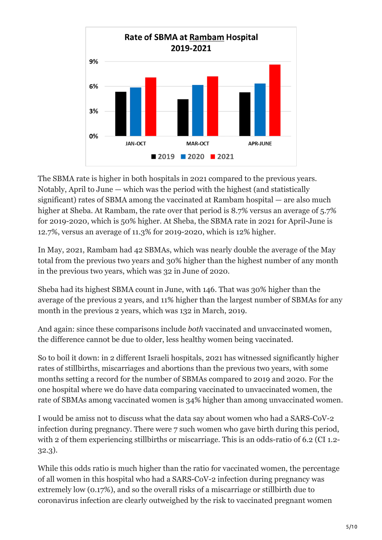

The SBMA rate is higher in both hospitals in 2021 compared to the previous years. Notably, April to June — which was the period with the highest (and statistically significant) rates of SBMA among the vaccinated at Rambam hospital — are also much higher at Sheba. At Rambam, the rate over that period is 8.7% versus an average of 5.7% for 2019-2020, which is 50% higher. At Sheba, the SBMA rate in 2021 for April-June is 12.7%, versus an average of 11.3% for 2019-2020, which is 12% higher.

In May, 2021, Rambam had 42 SBMAs, which was nearly double the average of the May total from the previous two years and 30% higher than the highest number of any month in the previous two years, which was 32 in June of 2020.

Sheba had its highest SBMA count in June, with 146. That was 30% higher than the average of the previous 2 years, and 11% higher than the largest number of SBMAs for any month in the previous 2 years, which was 132 in March, 2019.

And again: since these comparisons include *both* vaccinated and unvaccinated women, the difference cannot be due to older, less healthy women being vaccinated.

So to boil it down: in 2 different Israeli hospitals, 2021 has witnessed significantly higher rates of stillbirths, miscarriages and abortions than the previous two years, with some months setting a record for the number of SBMAs compared to 2019 and 2020. For the one hospital where we do have data comparing vaccinated to unvaccinated women, the rate of SBMAs among vaccinated women is 34% higher than among unvaccinated women.

I would be amiss not to discuss what the data say about women who had a SARS-CoV-2 infection during pregnancy. There were 7 such women who gave birth during this period, with 2 of them experiencing still births or miscarriage. This is an odds-ratio of 6.2 (CI 1.2-32.3).

While this odds ratio is much higher than the ratio for vaccinated women, the percentage of all women in this hospital who had a SARS-CoV-2 infection during pregnancy was extremely low (0.17%), and so the overall risks of a miscarriage or stillbirth due to coronavirus infection are clearly outweighed by the risk to vaccinated pregnant women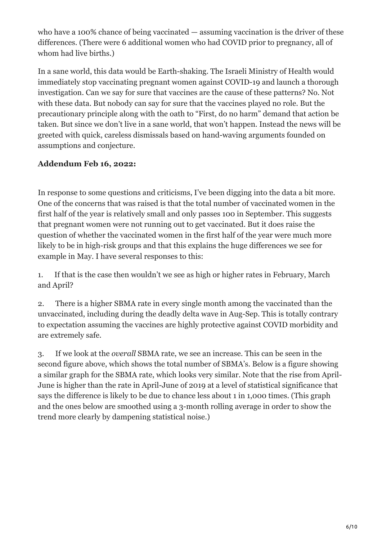who have a 100% chance of being vaccinated — assuming vaccination is the driver of these differences. (There were 6 additional women who had COVID prior to pregnancy, all of whom had live births.)

In a sane world, this data would be Earth-shaking. The Israeli Ministry of Health would immediately stop vaccinating pregnant women against COVID-19 and launch a thorough investigation. Can we say for sure that vaccines are the cause of these patterns? No. Not with these data. But nobody can say for sure that the vaccines played no role. But the precautionary principle along with the oath to "First, do no harm" demand that action be taken. But since we don't live in a sane world, that won't happen. Instead the news will be greeted with quick, careless dismissals based on hand-waving arguments founded on assumptions and conjecture.

### **Addendum Feb 16, 2022:**

In response to some questions and criticisms, I've been digging into the data a bit more. One of the concerns that was raised is that the total number of vaccinated women in the first half of the year is relatively small and only passes 100 in September. This suggests that pregnant women were not running out to get vaccinated. But it does raise the question of whether the vaccinated women in the first half of the year were much more likely to be in high-risk groups and that this explains the huge differences we see for example in May. I have several responses to this:

1. If that is the case then wouldn't we see as high or higher rates in February, March and April?

2. There is a higher SBMA rate in every single month among the vaccinated than the unvaccinated, including during the deadly delta wave in Aug-Sep. This is totally contrary to expectation assuming the vaccines are highly protective against COVID morbidity and are extremely safe.

3. If we look at the *overall* SBMA rate, we see an increase. This can be seen in the second figure above, which shows the total number of SBMA's. Below is a figure showing a similar graph for the SBMA rate, which looks very similar. Note that the rise from April-June is higher than the rate in April-June of 2019 at a level of statistical significance that says the difference is likely to be due to chance less about 1 in 1,000 times. (This graph and the ones below are smoothed using a 3-month rolling average in order to show the trend more clearly by dampening statistical noise.)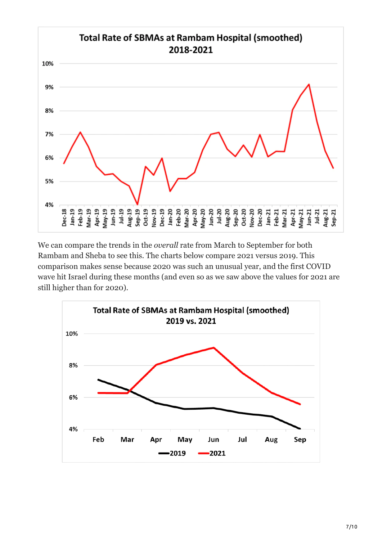

We can compare the trends in the *overall* rate from March to September for both Rambam and Sheba to see this. The charts below compare 2021 versus 2019. This comparison makes sense because 2020 was such an unusual year, and the first COVID wave hit Israel during these months (and even so as we saw above the values for 2021 are still higher than for 2020).

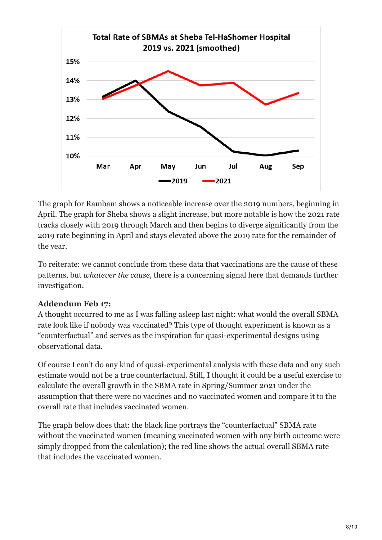

The graph for Rambam shows a noticeable increase over the 2019 numbers, beginning in April. The graph for Sheba shows a slight increase, but more notable is how the 2021 rate tracks closely with 2019 through March and then begins to diverge significantly from the 2019 rate beginning in April and stays elevated above the 2019 rate for the remainder of the year.

To reiterate: we cannot conclude from these data that vaccinations are the cause of these patterns, but *whatever the cause*, there is a concerning signal here that demands further investigation.

## **Addendum Feb 17:**

A thought occurred to me as I was falling asleep last night: what would the overall SBMA rate look like if nobody was vaccinated? This type of thought experiment is known as a "counterfactual" and serves as the inspiration for quasi-experimental designs using observational data.

Of course I can't do any kind of quasi-experimental analysis with these data and any such estimate would not be a true counterfactual. Still, I thought it could be a useful exercise to calculate the overall growth in the SBMA rate in Spring/Summer 2021 under the assumption that there were no vaccines and no vaccinated women and compare it to the overall rate that includes vaccinated women.

The graph below does that: the black line portrays the "counterfactual" SBMA rate without the vaccinated women (meaning vaccinated women with any birth outcome were simply dropped from the calculation); the red line shows the actual overall SBMA rate that includes the vaccinated women.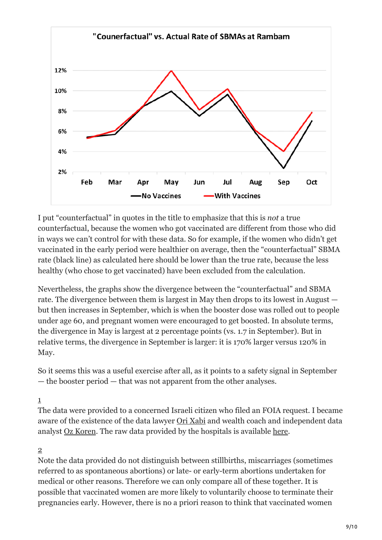

I put "counterfactual" in quotes in the title to emphasize that this is *not* a true counterfactual, because the women who got vaccinated are different from those who did in ways we can't control for with these data. So for example, if the women who didn't get vaccinated in the early period were healthier on average, then the "counterfactual" SBMA rate (black line) as calculated here should be lower than the true rate, because the less healthy (who chose to get vaccinated) have been excluded from the calculation.

Nevertheless, the graphs show the divergence between the "counterfactual" and SBMA rate. The divergence between them is largest in May then drops to its lowest in August but then increases in September, which is when the booster dose was rolled out to people under age 60, and pregnant women were encouraged to get boosted. In absolute terms, the divergence in May is largest at 2 percentage points (vs. 1.7 in September). But in relative terms, the divergence in September is larger: it is 170% larger versus 120% in May.

So it seems this was a useful exercise after all, as it points to a safety signal in September — the booster period — that was not apparent from the other analyses.

#### <span id="page-8-0"></span>[1](#page-0-0)

The data were provided to a concerned Israeli citizen who filed an FOIA request. I became aware of the existence of the data lawyer [Ori Xabi](https://www.facebook.com/ori.xabi/posts/4650207708417383) and wealth coach and independent data analyst [Oz Koren](https://www.facebook.com/ozkoren/posts/10160218631454114). The raw data provided by the hospitals is available [here.](https://drive.google.com/drive/u/3/folders/1Fge_lBpcq7ZCHVa-x-MhnJ4MB7yhCRY-)

#### <span id="page-8-1"></span>[2](#page-0-1)

Note the data provided do not distinguish between stillbirths, miscarriages (sometimes referred to as spontaneous abortions) or late- or early-term abortions undertaken for medical or other reasons. Therefore we can only compare all of these together. It is possible that vaccinated women are more likely to voluntarily choose to terminate their pregnancies early. However, there is no a priori reason to think that vaccinated women